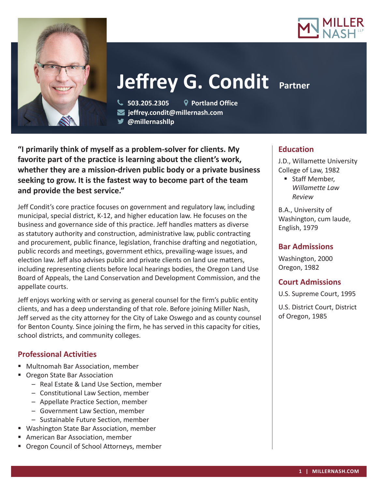



# **Jeffrey G. Condit Partner**

 **503.205.2305 Portland Office jeffrey.condit@millernash.com** 

**@millernashllp** 

**"I primarily think of myself as a problem-solver for clients. My favorite part of the practice is learning about the client's work, whether they are a mission-driven public body or a private business seeking to grow. It is the fastest way to become part of the team and provide the best service."**

Jeff Condit's core practice focuses on government and regulatory law, including municipal, special district, K-12, and higher education law. He focuses on the business and governance side of this practice. Jeff handles matters as diverse as statutory authority and construction, administrative law, public contracting and procurement, public finance, legislation, franchise drafting and negotiation, public records and meetings, government ethics, prevailing-wage issues, and election law. Jeff also advises public and private clients on land use matters, including representing clients before local hearings bodies, the Oregon Land Use Board of Appeals, the Land Conservation and Development Commission, and the appellate courts.

Jeff enjoys working with or serving as general counsel for the firm's public entity clients, and has a deep understanding of that role. Before joining Miller Nash, Jeff served as the city attorney for the City of Lake Oswego and as county counsel for Benton County. Since joining the firm, he has served in this capacity for cities, school districts, and community colleges.

## **Professional Activities**

- **Multnomah Bar Association, member**
- Oregon State Bar Association
	- Real Estate & Land Use Section, member
	- Constitutional Law Section, member
	- Appellate Practice Section, member
	- Government Law Section, member
	- Sustainable Future Section, member
- **Washington State Bar Association, member**
- American Bar Association, member
- **Diamage 1 Diamage 1 Oregon Council of School Attorneys, member**

## **Education**

J.D., Willamette University College of Law, 1982

■ Staff Member, *Willamette Law Review*

B.A., University of Washington, cum laude, English, 1979

# **Bar Admissions**

Washington, 2000 Oregon, 1982

## **Court Admissions**

U.S. Supreme Court, 1995

U.S. District Court, District of Oregon, 1985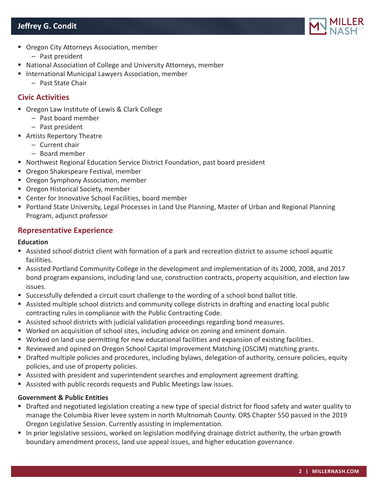# **Jeffrey G. Condit**



- **Oregon City Attorneys Association, member** 
	- Past president
- National Association of College and University Attorneys, member
- **International Municipal Lawyers Association, member** 
	- Past State Chair

#### **Civic Activities**

- Oregon Law Institute of Lewis & Clark College
	- Past board member
	- Past president
- Artists Repertory Theatre
	- Current chair
	- Board member
- Northwest Regional Education Service District Foundation, past board president
- **Oregon Shakespeare Festival, member**
- **Oregon Symphony Association, member**
- **Oregon Historical Society, member**
- Center for Innovative School Facilities, board member
- **Portland State University, Legal Processes in Land Use Planning, Master of Urban and Regional Planning** Program, adjunct professor

#### **Representative Experience**

#### **Education**

- Assisted school district client with formation of a park and recreation district to assume school aquatic facilities.
- Assisted Portland Community College in the development and implementation of its 2000, 2008, and 2017 bond program expansions, including land use, construction contracts, property acquisition, and election law issues.
- Successfully defended a circuit court challenge to the wording of a school bond ballot title.
- Assisted multiple school districts and community college districts in drafting and enacting local public contracting rules in compliance with the Public Contracting Code.
- Assisted school districts with judicial validation proceedings regarding bond measures.
- Worked on acquisition of school sites, including advice on zoning and eminent domain.
- Worked on land use permitting for new educational facilities and expansion of existing facilities.
- Reviewed and opined on Oregon School Capital Improvement Matching (OSCIM) matching grants.
- Drafted multiple policies and procedures, including bylaws, delegation of authority, censure policies, equity policies, and use of property policies.
- Assisted with president and superintendent searches and employment agreement drafting.
- Assisted with public records requests and Public Meetings law issues.

#### **Government & Public Entities**

- Drafted and negotiated legislation creating a new type of special district for flood safety and water quality to manage the Columbia River levee system in north Multnomah County. ORS Chapter 550 passed in the 2019 Oregon Legislative Session. Currently assisting in implementation.
- In prior legislative sessions, worked on legislation modifying drainage district authority, the urban growth boundary amendment process, land use appeal issues, and higher education governance.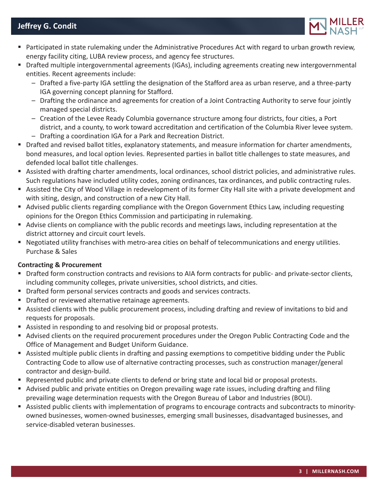# **Jeffrey G. Condit**



- Participated in state rulemaking under the Administrative Procedures Act with regard to urban growth review, energy facility citing, LUBA review process, and agency fee structures.
- Drafted multiple intergovernmental agreements (IGAs), including agreements creating new intergovernmental entities. Recent agreements include:
	- Drafted a five-party IGA settling the designation of the Stafford area as urban reserve, and a three-party IGA governing concept planning for Stafford.
	- Drafting the ordinance and agreements for creation of a Joint Contracting Authority to serve four jointly managed special districts.
	- Creation of the Levee Ready Columbia governance structure among four districts, four cities, a Port district, and a county, to work toward accreditation and certification of the Columbia River levee system.
	- Drafting a coordination IGA for a Park and Recreation District.
- **Drafted and revised ballot titles, explanatory statements, and measure information for charter amendments,** bond measures, and local option levies. Represented parties in ballot title challenges to state measures, and defended local ballot title challenges.
- Assisted with drafting charter amendments, local ordinances, school district policies, and administrative rules. Such regulations have included utility codes, zoning ordinances, tax ordinances, and public contracting rules.
- Assisted the City of Wood Village in redevelopment of its former City Hall site with a private development and with siting, design, and construction of a new City Hall.
- Advised public clients regarding compliance with the Oregon Government Ethics Law, including requesting opinions for the Oregon Ethics Commission and participating in rulemaking.
- Advise clients on compliance with the public records and meetings laws, including representation at the district attorney and circuit court levels.
- Negotiated utility franchises with metro-area cities on behalf of telecommunications and energy utilities. Purchase & Sales

#### **Contracting & Procurement**

- Drafted form construction contracts and revisions to AIA form contracts for public- and private-sector clients, including community colleges, private universities, school districts, and cities.
- Drafted form personal services contracts and goods and services contracts.
- **Drafted or reviewed alternative retainage agreements.**
- Assisted clients with the public procurement process, including drafting and review of invitations to bid and requests for proposals.
- Assisted in responding to and resolving bid or proposal protests.
- Advised clients on the required procurement procedures under the Oregon Public Contracting Code and the Office of Management and Budget Uniform Guidance.
- Assisted multiple public clients in drafting and passing exemptions to competitive bidding under the Public Contracting Code to allow use of alternative contracting processes, such as construction manager/general contractor and design-build.
- Represented public and private clients to defend or bring state and local bid or proposal protests.
- Advised public and private entities on Oregon prevailing wage rate issues, including drafting and filing prevailing wage determination requests with the Oregon Bureau of Labor and Industries (BOLI).
- Assisted public clients with implementation of programs to encourage contracts and subcontracts to minorityowned businesses, women-owned businesses, emerging small businesses, disadvantaged businesses, and service-disabled veteran businesses.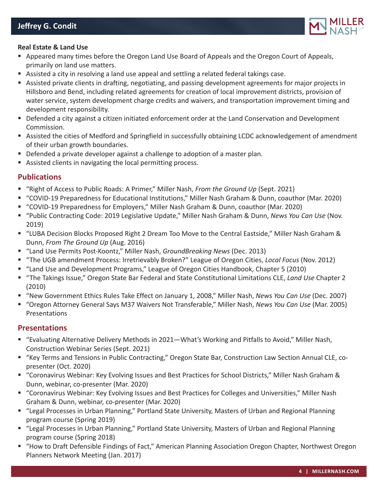

#### **Real Estate & Land Use**

- Appeared many times before the Oregon Land Use Board of Appeals and the Oregon Court of Appeals, primarily on land use matters.
- Assisted a city in resolving a land use appeal and settling a related federal takings case.
- Assisted private clients in drafting, negotiating, and passing development agreements for major projects in Hillsboro and Bend, including related agreements for creation of local improvement districts, provision of water service, system development charge credits and waivers, and transportation improvement timing and development responsibility.
- **Defended a city against a citizen initiated enforcement order at the Land Conservation and Development** Commission.
- Assisted the cities of Medford and Springfield in successfully obtaining LCDC acknowledgement of amendment of their urban growth boundaries.
- Defended a private developer against a challenge to adoption of a master plan.
- Assisted clients in navigating the local permitting process.

#### **Publications**

- "Right of Access to Public Roads: A Primer," Miller Nash, *From the Ground Up* (Sept. 2021)
- "COVID-19 Preparedness for Educational Institutions," Miller Nash Graham & Dunn, coauthor (Mar. 2020)
- "COVID-19 Preparedness for Employers," Miller Nash Graham & Dunn, coauthor (Mar. 2020)
- "Public Contracting Code: 2019 Legislative Update," Miller Nash Graham & Dunn, *News You Can Use* (Nov. 2019)
- "LUBA Decision Blocks Proposed Right 2 Dream Too Move to the Central Eastside," Miller Nash Graham & Dunn, *From The Ground Up* (Aug. 2016)
- "Land Use Permits Post-Koontz," Miller Nash, *GroundBreaking News* (Dec. 2013)
- "The UGB amendment Process: Irretrievably Broken?" League of Oregon Cities, *Local Focus* (Nov. 2012)
- "Land Use and Development Programs," League of Oregon Cities Handbook, Chapter 5 (2010)
- "The Takings Issue," Oregon State Bar Federal and State Constitutional Limitations CLE, *Land Use* Chapter 2 (2010)
- "New Government Ethics Rules Take Effect on January 1, 2008," Miller Nash, *News You Can Use* (Dec. 2007)
- "Oregon Attorney General Says M37 Waivers Not Transferable," Miller Nash, *News You Can Use* (Mar. 2005) Presentations

#### **Presentations**

- "Evaluating Alternative Delivery Methods in 2021—What's Working and Pitfalls to Avoid," Miller Nash, Construction Webinar Series (Sept. 2021)
- "Key Terms and Tensions in Public Contracting," Oregon State Bar, Construction Law Section Annual CLE, copresenter (Oct. 2020)
- "Coronavirus Webinar: Key Evolving Issues and Best Practices for School Districts," Miller Nash Graham & Dunn, webinar, co-presenter (Mar. 2020)
- "Coronavirus Webinar: Key Evolving Issues and Best Practices for Colleges and Universities," Miller Nash Graham & Dunn, webinar, co-presenter (Mar. 2020)
- "Legal Processes in Urban Planning," Portland State University, Masters of Urban and Regional Planning program course (Spring 2019)
- "Legal Processes in Urban Planning," Portland State University, Masters of Urban and Regional Planning program course (Spring 2018)
- "How to Draft Defensible Findings of Fact," American Planning Association Oregon Chapter, Northwest Oregon Planners Network Meeting (Jan. 2017)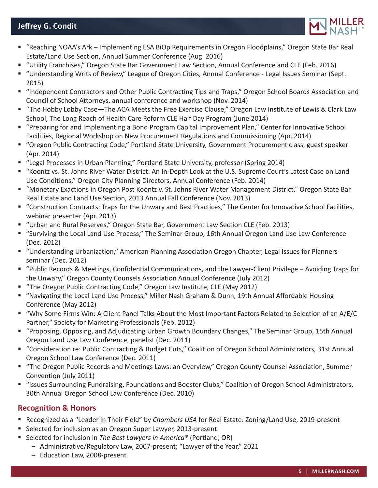# **Jeffrey G. Condit**



- "Reaching NOAA's Ark Implementing ESA BiOp Requirements in Oregon Floodplains," Oregon State Bar Real Estate/Land Use Section, Annual Summer Conference (Aug. 2016)
- "Utility Franchises," Oregon State Bar Government Law Section, Annual Conference and CLE (Feb. 2016)
- "Understanding Writs of Review," League of Oregon Cities, Annual Conference Legal Issues Seminar (Sept. 2015)
- "Independent Contractors and Other Public Contracting Tips and Traps," Oregon School Boards Association and Council of School Attorneys, annual conference and workshop (Nov. 2014)
- "The Hobby Lobby Case—The ACA Meets the Free Exercise Clause," Oregon Law Institute of Lewis & Clark Law School, The Long Reach of Health Care Reform CLE Half Day Program (June 2014)
- "Preparing for and Implementing a Bond Program Capital Improvement Plan," Center for Innovative School Facilities, Regional Workshop on New Procurement Regulations and Commissioning (Apr. 2014)
- "Oregon Public Contracting Code," Portland State University, Government Procurement class, guest speaker (Apr. 2014)
- "Legal Processes in Urban Planning," Portland State University, professor (Spring 2014)
- "Koontz vs. St. Johns River Water District: An In-Depth Look at the U.S. Supreme Court's Latest Case on Land Use Conditions," Oregon City Planning Directors, Annual Conference (Feb. 2014)
- "Monetary Exactions in Oregon Post Koontz v. St. Johns River Water Management District," Oregon State Bar Real Estate and Land Use Section, 2013 Annual Fall Conference (Nov. 2013)
- "Construction Contracts: Traps for the Unwary and Best Practices," The Center for Innovative School Facilities, webinar presenter (Apr. 2013)
- "Urban and Rural Reserves," Oregon State Bar, Government Law Section CLE (Feb. 2013)
- "Surviving the Local Land Use Process," The Seminar Group, 16th Annual Oregon Land Use Law Conference (Dec. 2012)
- "Understanding Urbanization," American Planning Association Oregon Chapter, Legal Issues for Planners seminar (Dec. 2012)
- "Public Records & Meetings, Confidential Communications, and the Lawyer-Client Privilege Avoiding Traps for the Unwary," Oregon County Counsels Association Annual Conference (July 2012)
- "The Oregon Public Contracting Code," Oregon Law Institute, CLE (May 2012)
- "Navigating the Local Land Use Process," Miller Nash Graham & Dunn, 19th Annual Affordable Housing Conference (May 2012)
- "Why Some Firms Win: A Client Panel Talks About the Most Important Factors Related to Selection of an A/E/C Partner," Society for Marketing Professionals (Feb. 2012)
- "Proposing, Opposing, and Adjudicating Urban Growth Boundary Changes," The Seminar Group, 15th Annual Oregon Land Use Law Conference, panelist (Dec. 2011)
- "Consideration re: Public Contracting & Budget Cuts," Coalition of Oregon School Administrators, 31st Annual Oregon School Law Conference (Dec. 2011)
- "The Oregon Public Records and Meetings Laws: an Overview," Oregon County Counsel Association, Summer Convention (July 2011)
- "Issues Surrounding Fundraising, Foundations and Booster Clubs," Coalition of Oregon School Administrators, 30th Annual Oregon School Law Conference (Dec. 2010)

## **Recognition & Honors**

- Recognized as a "Leader in Their Field" by *Chambers USA* for Real Estate: Zoning/Land Use, 2019-present
- Selected for inclusion as an Oregon Super Lawyer, 2013-present
- Selected for inclusion in *The Best Lawyers in America®* (Portland, OR)
	- Administrative/Regulatory Law, 2007-present; "Lawyer of the Year," 2021
	- Education Law, 2008-present